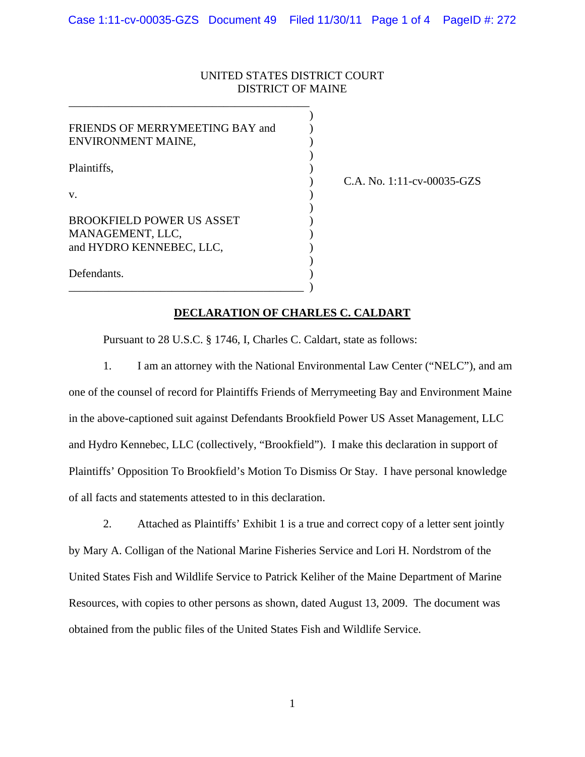## UNITED STATES DISTRICT COURT DISTRICT OF MAINE

| FRIENDS OF MERRYMEETING BAY and<br>ENVIRONMENT MAINE,                                  |  |
|----------------------------------------------------------------------------------------|--|
| Plaintiffs.                                                                            |  |
| V.<br><b>BROOKFIELD POWER US ASSET</b><br>MANAGEMENT, LLC,<br>and HYDRO KENNEBEC, LLC, |  |
|                                                                                        |  |

 $\qquad \qquad \Box$ 

\_\_\_\_\_\_\_\_\_\_\_\_\_\_\_\_\_\_\_\_\_\_\_\_\_\_\_\_\_\_\_\_\_\_\_\_\_\_\_\_\_\_

) C.A. No. 1:11-cv-00035-GZS

## **DECLARATION OF CHARLES C. CALDART**

Pursuant to 28 U.S.C. § 1746, I, Charles C. Caldart, state as follows:

1. I am an attorney with the National Environmental Law Center ("NELC"), and am one of the counsel of record for Plaintiffs Friends of Merrymeeting Bay and Environment Maine in the above-captioned suit against Defendants Brookfield Power US Asset Management, LLC and Hydro Kennebec, LLC (collectively, "Brookfield"). I make this declaration in support of Plaintiffs' Opposition To Brookfield's Motion To Dismiss Or Stay. I have personal knowledge of all facts and statements attested to in this declaration.

2. Attached as Plaintiffs' Exhibit 1 is a true and correct copy of a letter sent jointly by Mary A. Colligan of the National Marine Fisheries Service and Lori H. Nordstrom of the United States Fish and Wildlife Service to Patrick Keliher of the Maine Department of Marine Resources, with copies to other persons as shown, dated August 13, 2009. The document was obtained from the public files of the United States Fish and Wildlife Service.

1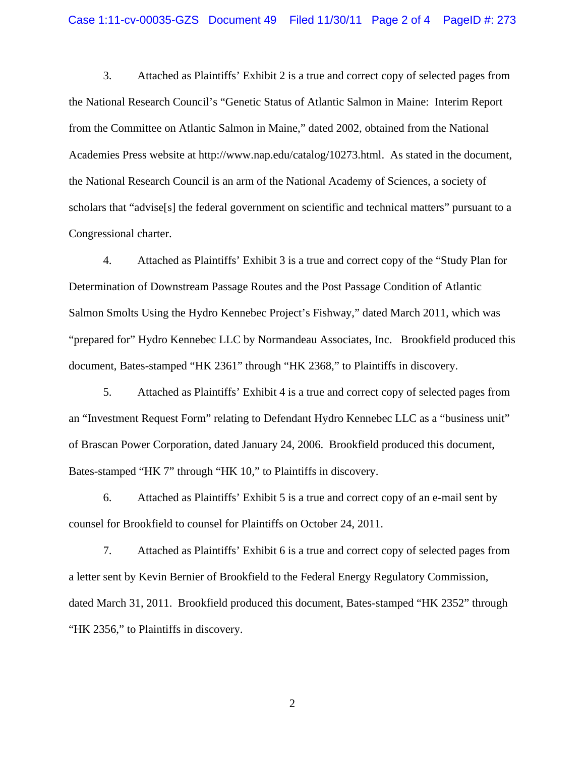3. Attached as Plaintiffs' Exhibit 2 is a true and correct copy of selected pages from the National Research Council's "Genetic Status of Atlantic Salmon in Maine: Interim Report from the Committee on Atlantic Salmon in Maine," dated 2002, obtained from the National Academies Press website at http://www.nap.edu/catalog/10273.html. As stated in the document, the National Research Council is an arm of the National Academy of Sciences, a society of scholars that "advise[s] the federal government on scientific and technical matters" pursuant to a Congressional charter.

4. Attached as Plaintiffs' Exhibit 3 is a true and correct copy of the "Study Plan for Determination of Downstream Passage Routes and the Post Passage Condition of Atlantic Salmon Smolts Using the Hydro Kennebec Project's Fishway," dated March 2011, which was "prepared for" Hydro Kennebec LLC by Normandeau Associates, Inc. Brookfield produced this document, Bates-stamped "HK 2361" through "HK 2368," to Plaintiffs in discovery.

5. Attached as Plaintiffs' Exhibit 4 is a true and correct copy of selected pages from an "Investment Request Form" relating to Defendant Hydro Kennebec LLC as a "business unit" of Brascan Power Corporation, dated January 24, 2006. Brookfield produced this document, Bates-stamped "HK 7" through "HK 10," to Plaintiffs in discovery.

6. Attached as Plaintiffs' Exhibit 5 is a true and correct copy of an e-mail sent by counsel for Brookfield to counsel for Plaintiffs on October 24, 2011.

7. Attached as Plaintiffs' Exhibit 6 is a true and correct copy of selected pages from a letter sent by Kevin Bernier of Brookfield to the Federal Energy Regulatory Commission, dated March 31, 2011. Brookfield produced this document, Bates-stamped "HK 2352" through "HK 2356," to Plaintiffs in discovery.

2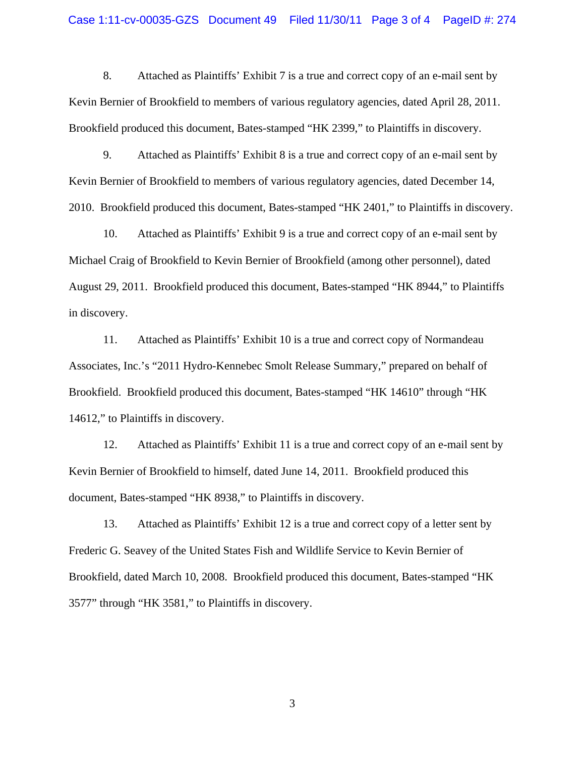8. Attached as Plaintiffs' Exhibit 7 is a true and correct copy of an e-mail sent by Kevin Bernier of Brookfield to members of various regulatory agencies, dated April 28, 2011. Brookfield produced this document, Bates-stamped "HK 2399," to Plaintiffs in discovery.

9. Attached as Plaintiffs' Exhibit 8 is a true and correct copy of an e-mail sent by Kevin Bernier of Brookfield to members of various regulatory agencies, dated December 14, 2010. Brookfield produced this document, Bates-stamped "HK 2401," to Plaintiffs in discovery.

10. Attached as Plaintiffs' Exhibit 9 is a true and correct copy of an e-mail sent by Michael Craig of Brookfield to Kevin Bernier of Brookfield (among other personnel), dated August 29, 2011. Brookfield produced this document, Bates-stamped "HK 8944," to Plaintiffs in discovery.

11. Attached as Plaintiffs' Exhibit 10 is a true and correct copy of Normandeau Associates, Inc.'s "2011 Hydro-Kennebec Smolt Release Summary," prepared on behalf of Brookfield. Brookfield produced this document, Bates-stamped "HK 14610" through "HK 14612," to Plaintiffs in discovery.

12. Attached as Plaintiffs' Exhibit 11 is a true and correct copy of an e-mail sent by Kevin Bernier of Brookfield to himself, dated June 14, 2011. Brookfield produced this document, Bates-stamped "HK 8938," to Plaintiffs in discovery.

13. Attached as Plaintiffs' Exhibit 12 is a true and correct copy of a letter sent by Frederic G. Seavey of the United States Fish and Wildlife Service to Kevin Bernier of Brookfield, dated March 10, 2008. Brookfield produced this document, Bates-stamped "HK 3577" through "HK 3581," to Plaintiffs in discovery.

3